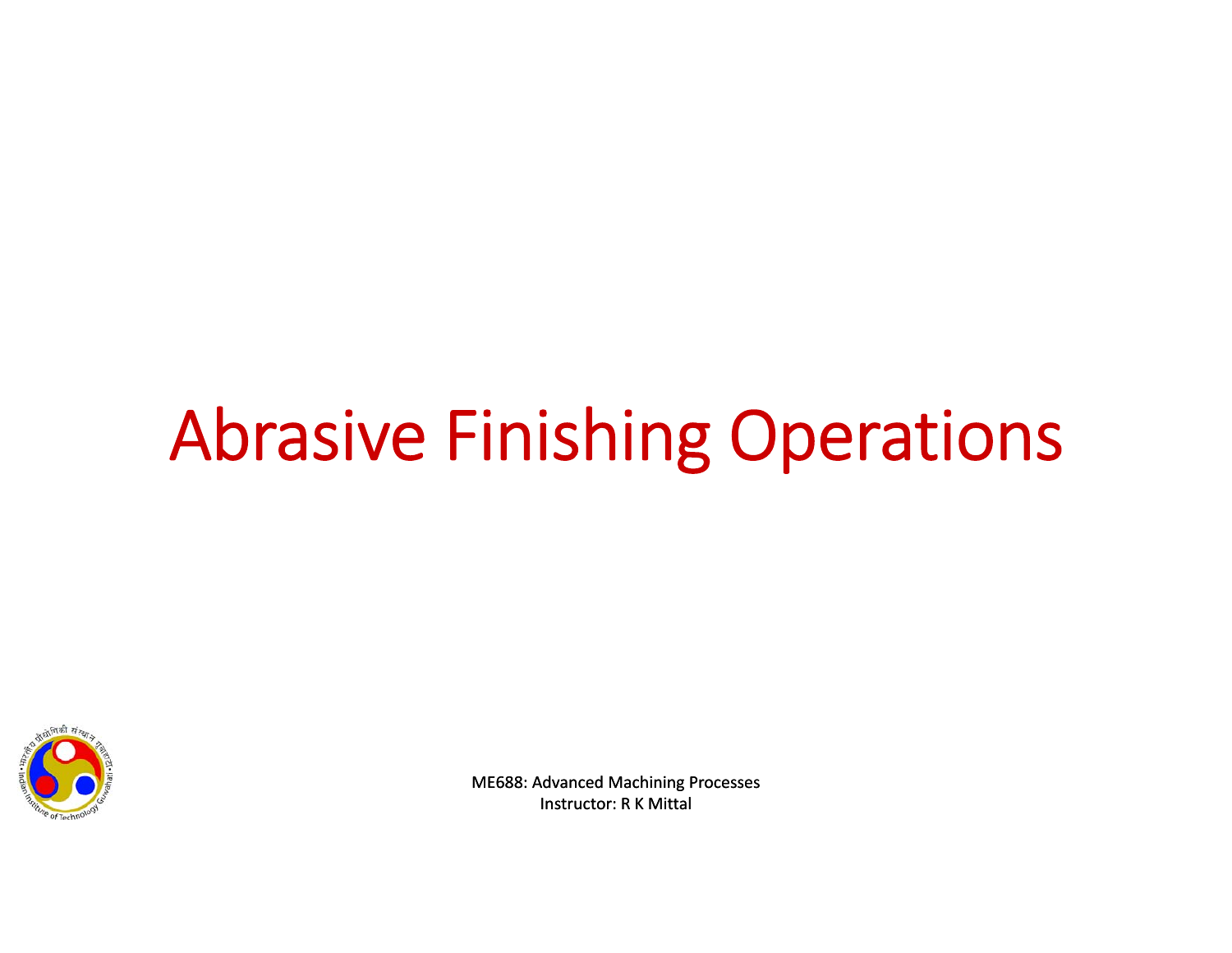# Abrasive Finishing Operations

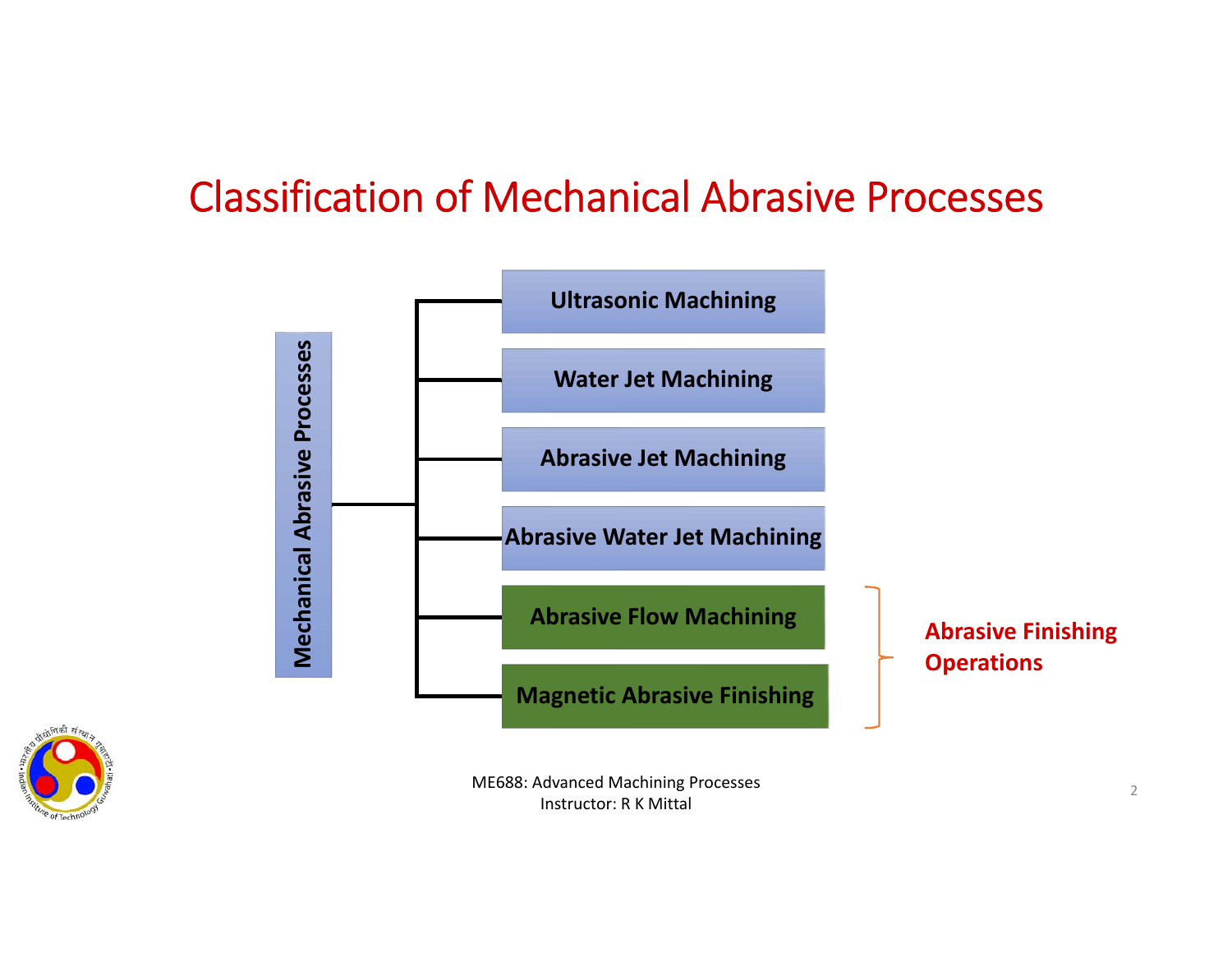#### Classification of Mechanical Abrasive Processes

Instructor: R K Mittal



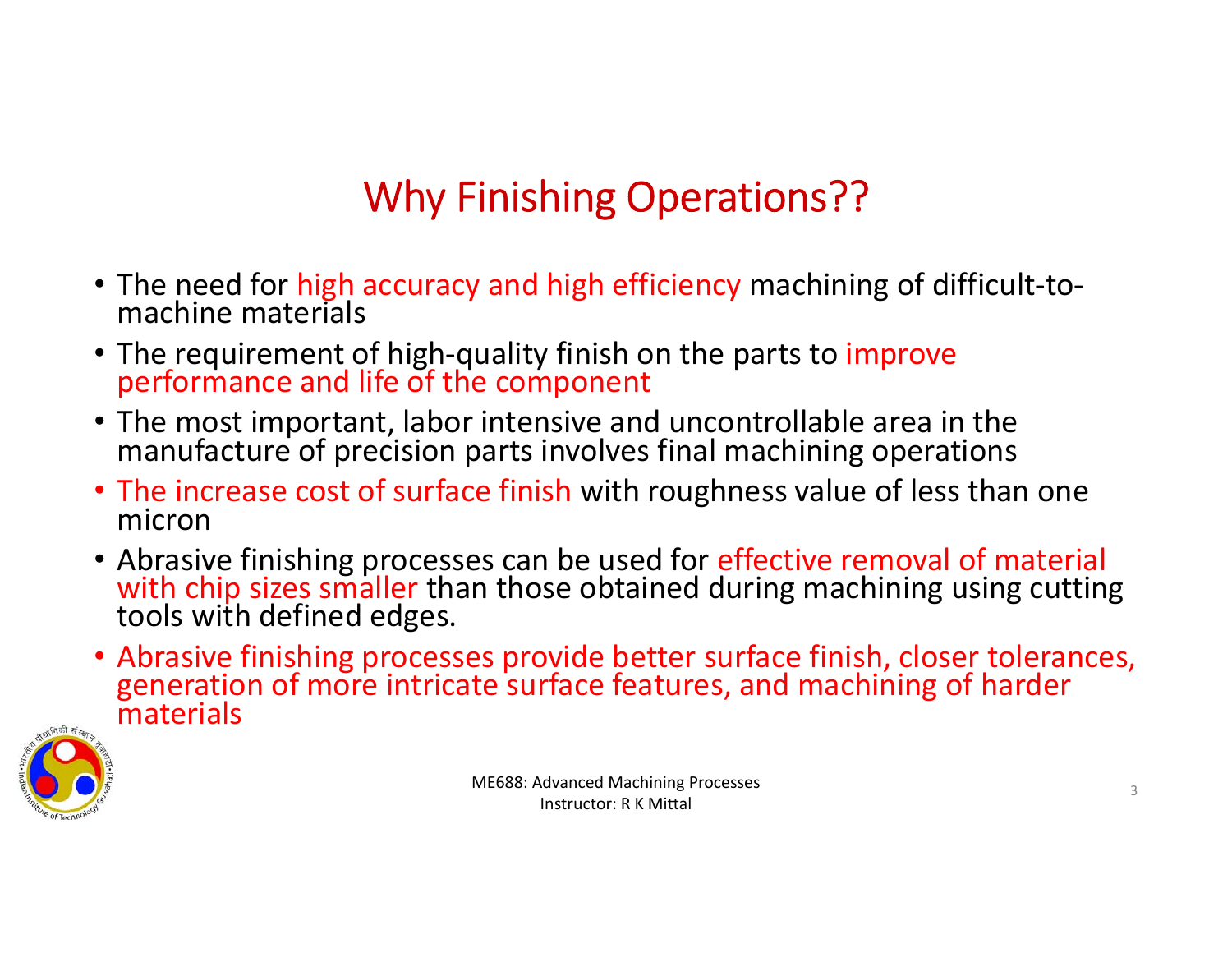# Why Finishing Operations??

- The need for high accuracy and high efficiency machining of difficult-to-<br>machine materials
- The requirement of high-quality finish on the parts to improve performance and life of the component
- The most important, labor intensive and uncontrollable area in the manufacture of precision parts involves final machining operations
- The increase cost of surface finish with roughness value of less than one micron
- Abrasive finishing processes can be used for effective removal of material with chip sizes smaller than those obtained during machining using cutting tools with defined edges.
- Abrasive finishing processes provide better surface finish, closer tolerances, generation of more intricate surface features, and machining of harder materials

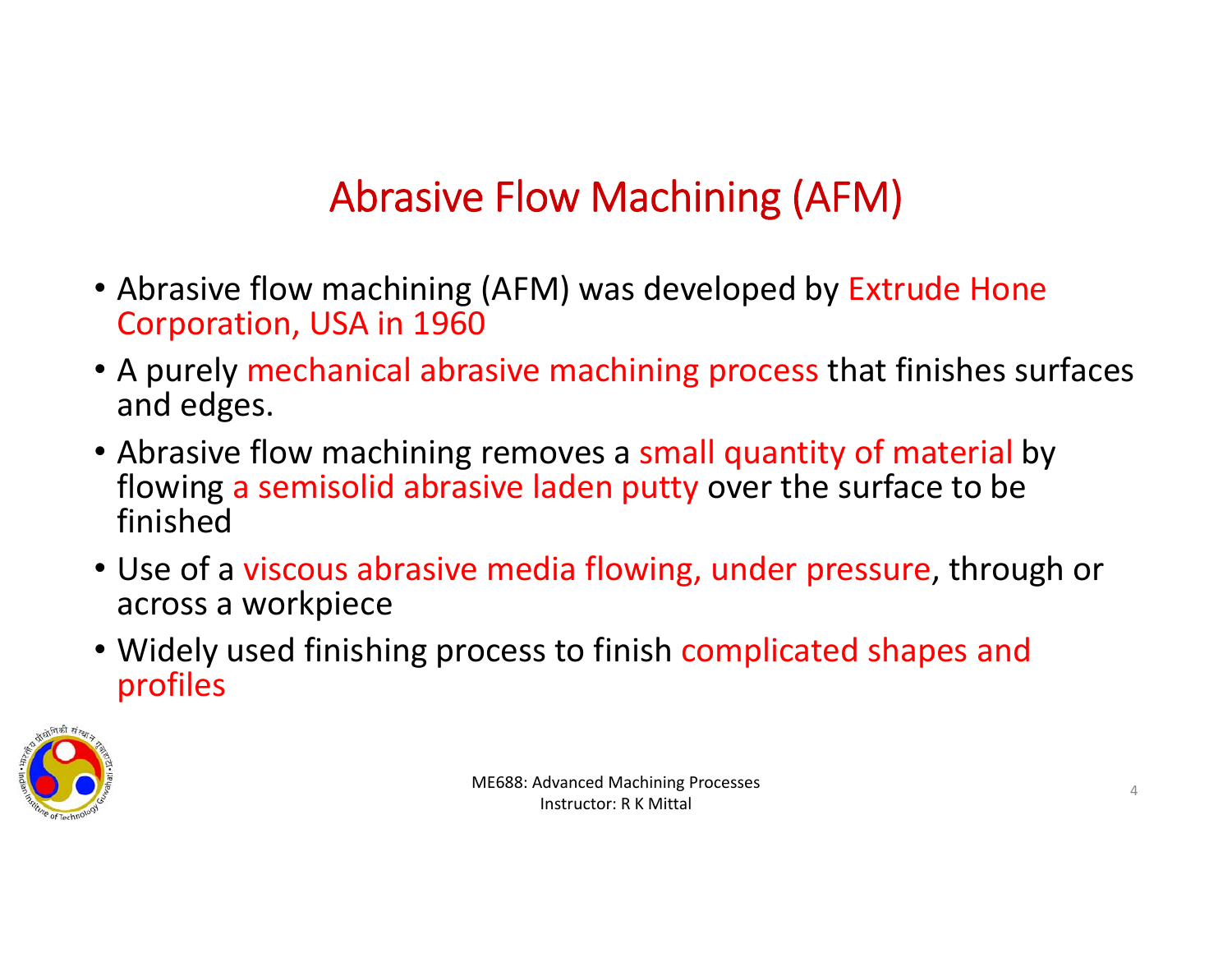# Abrasive Flow Machining (AFM)

- Abrasive flow machining (AFM) was developed by Extrude Hone Corporation, USA in 1960
- A purely mechanical abrasive machining process that finishes surfaces and edges.
- Abrasive flow machining removes a small quantity of material by flowing a semisolid abrasive laden putty over the surface to be finished
- Use of a viscous abrasive media flowing, under pressure, through or across a workpiece
- Widely used finishing process to finish complicated shapes and profiles

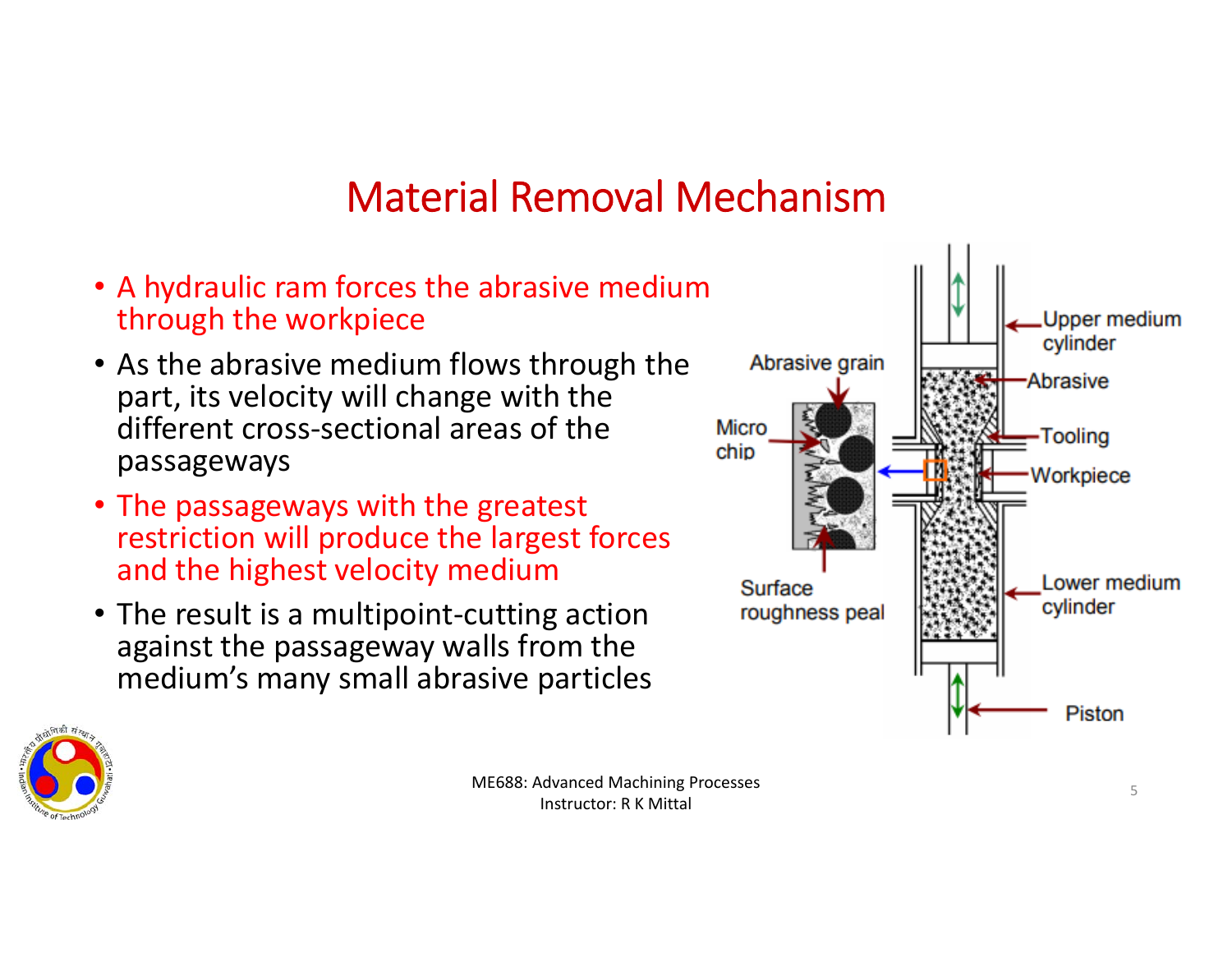#### Material Removal Mechanism

- A hydraulic ram forces the abrasive medium through the workpiece
- As the abrasive medium flows through the part, its velocity will change with the different cross‐sectional areas of the passageways
- The passageways with the greatest restriction will produce the largest forces and the highest velocity medium
- The result is a multipoint‐cutting action against the passageway walls from the medium's many small abrasive particles



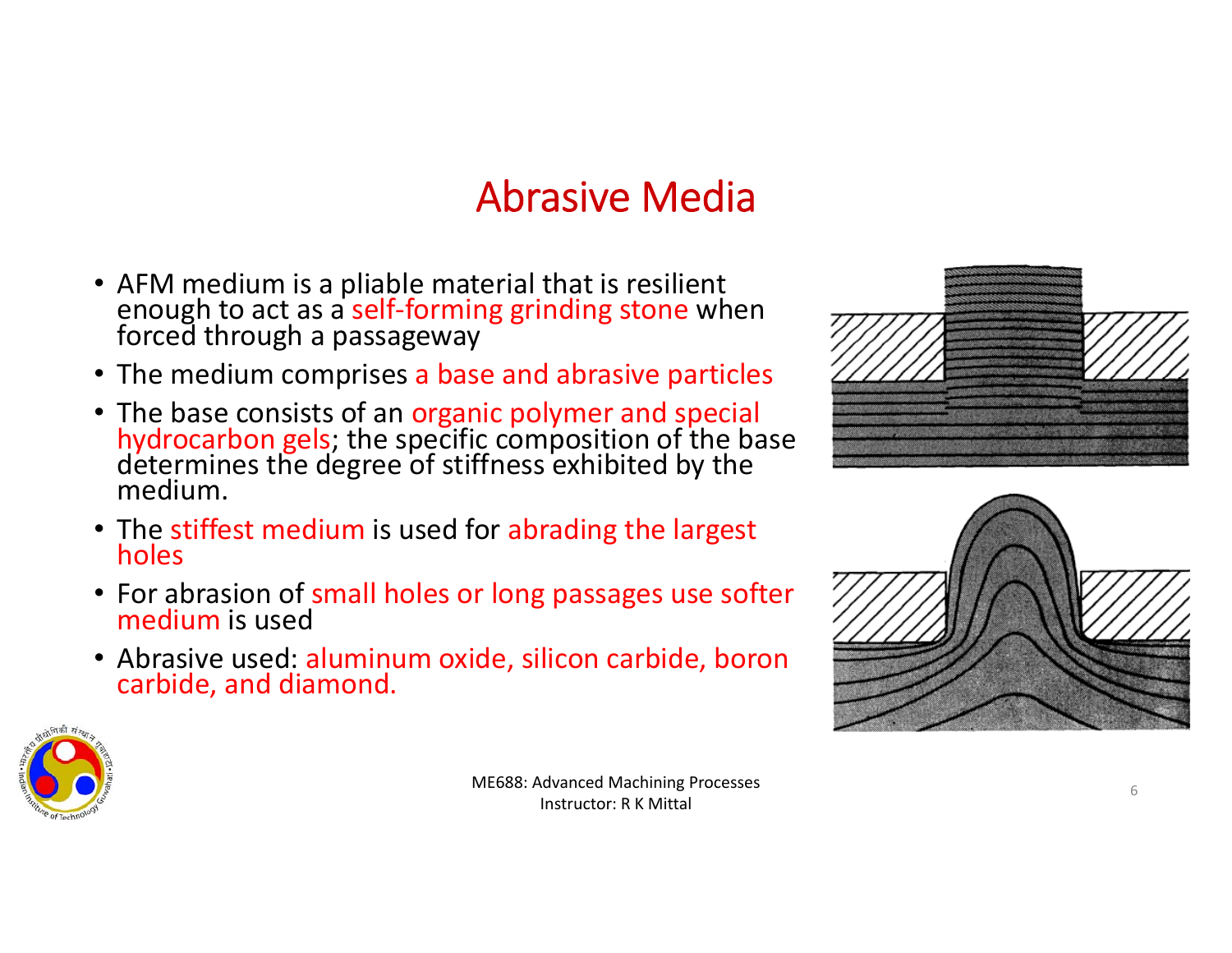#### Abrasive Media

- AFM medium is a pliable material that is resilient<br> enough to act as a self-forming grinding stone when<br> forced through a passageway
- The medium comprises a base and abrasive particles
- The base consists of an organic polymer and special<br> **hydrocarbon gels**; the specific composition of the base<br>
determines the degree of stiffness exhibited by the<br>
medium.
- The stiffest medium is used for abrading the largest holes
- For abrasion of small holes or long passages use softer medium is used
- Abrasive used: aluminum oxide, silicon carbide, boron carbide, and diamond.





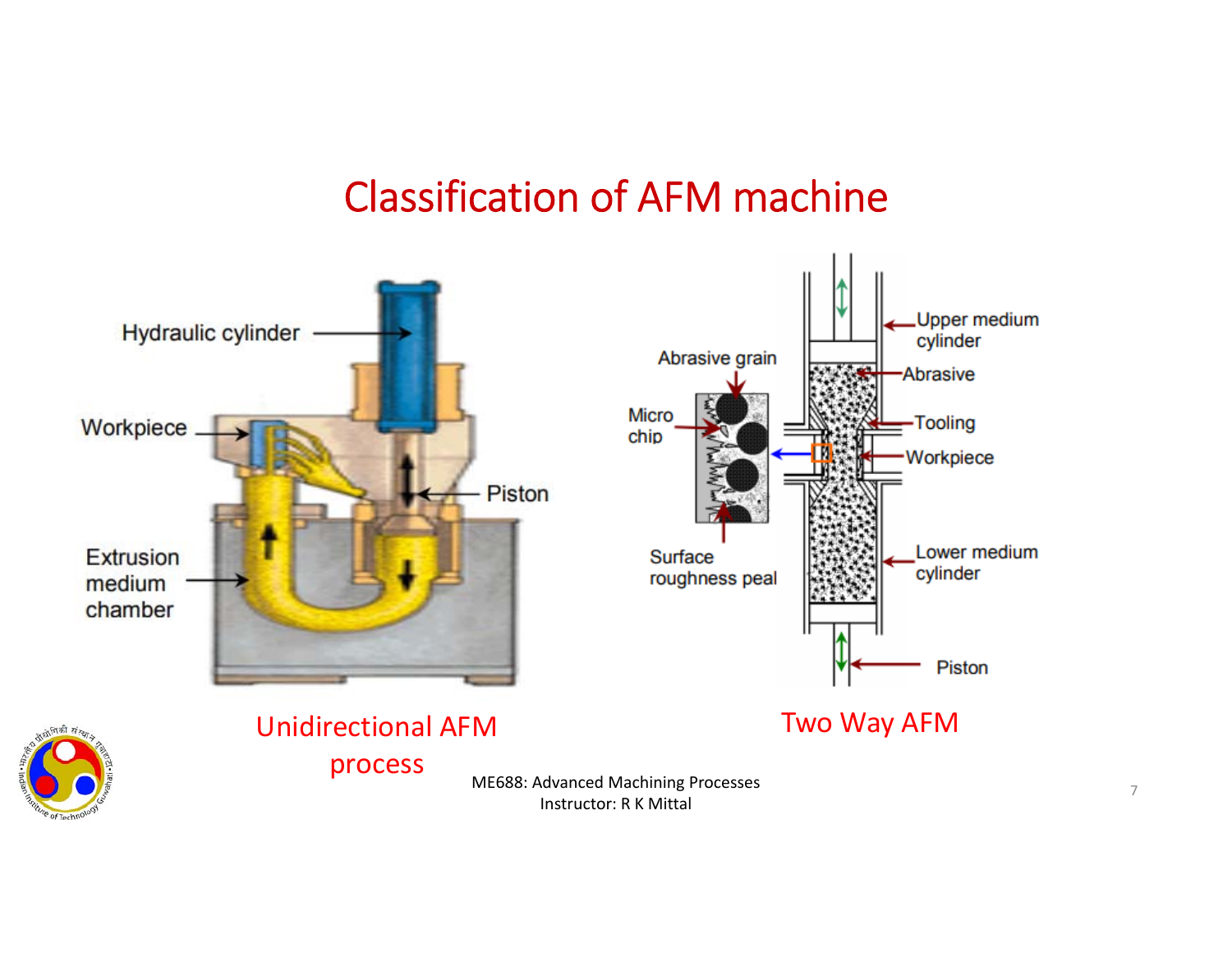#### Classification of AFM machine

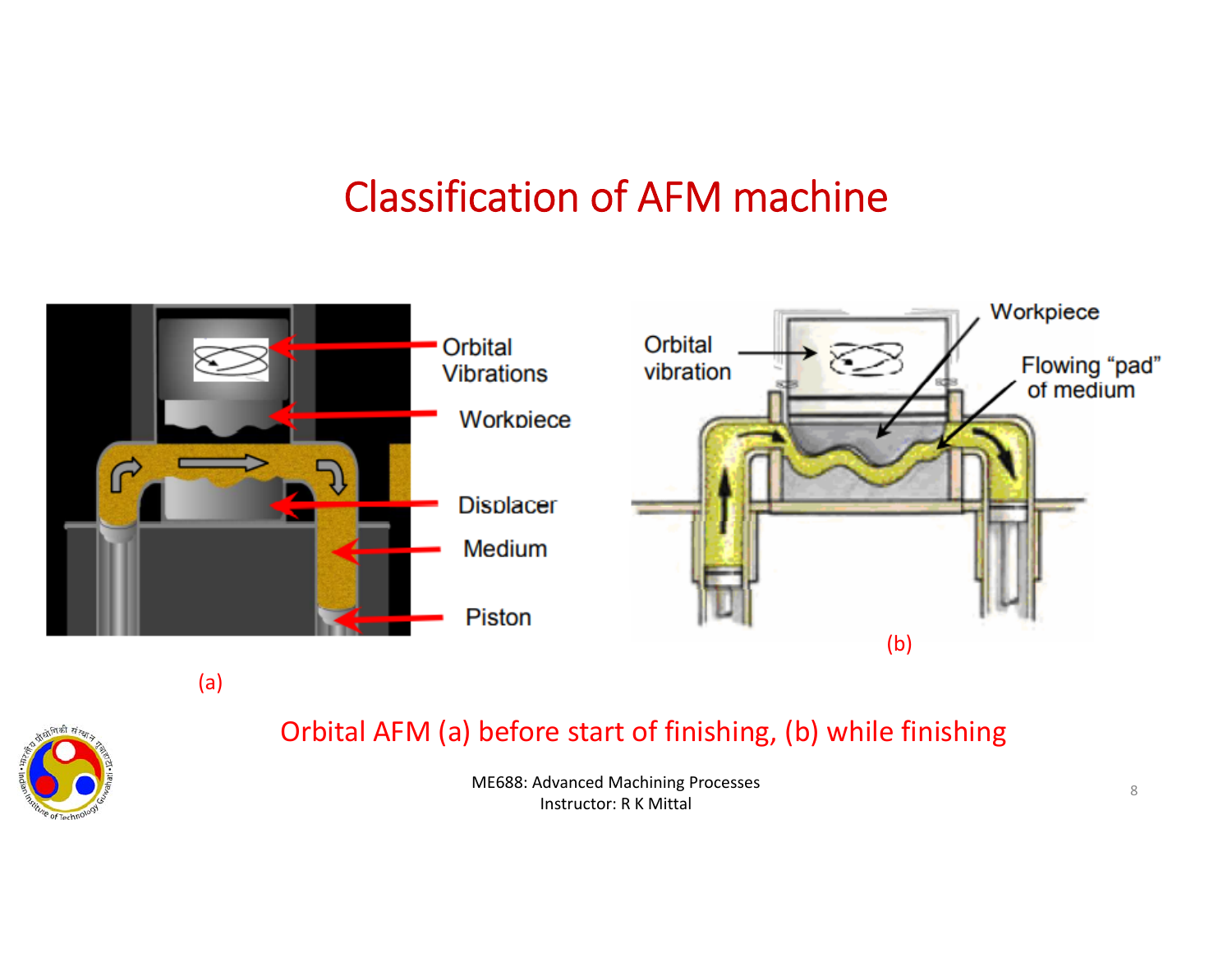#### Classification of AFM machine



(a)



#### Orbital AFM (a) before start of finishing, (b) while finishing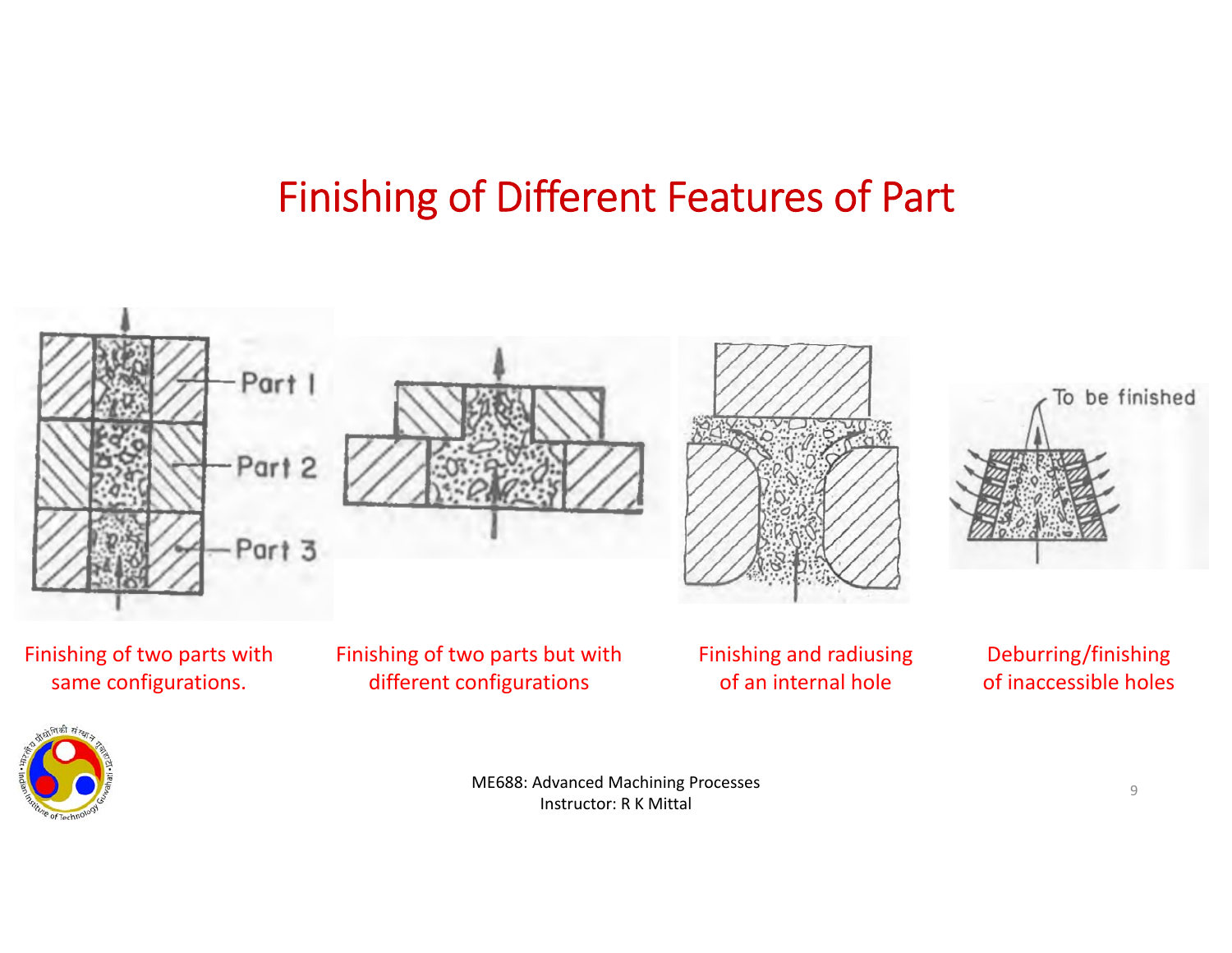#### Finishing of Different Features of Part

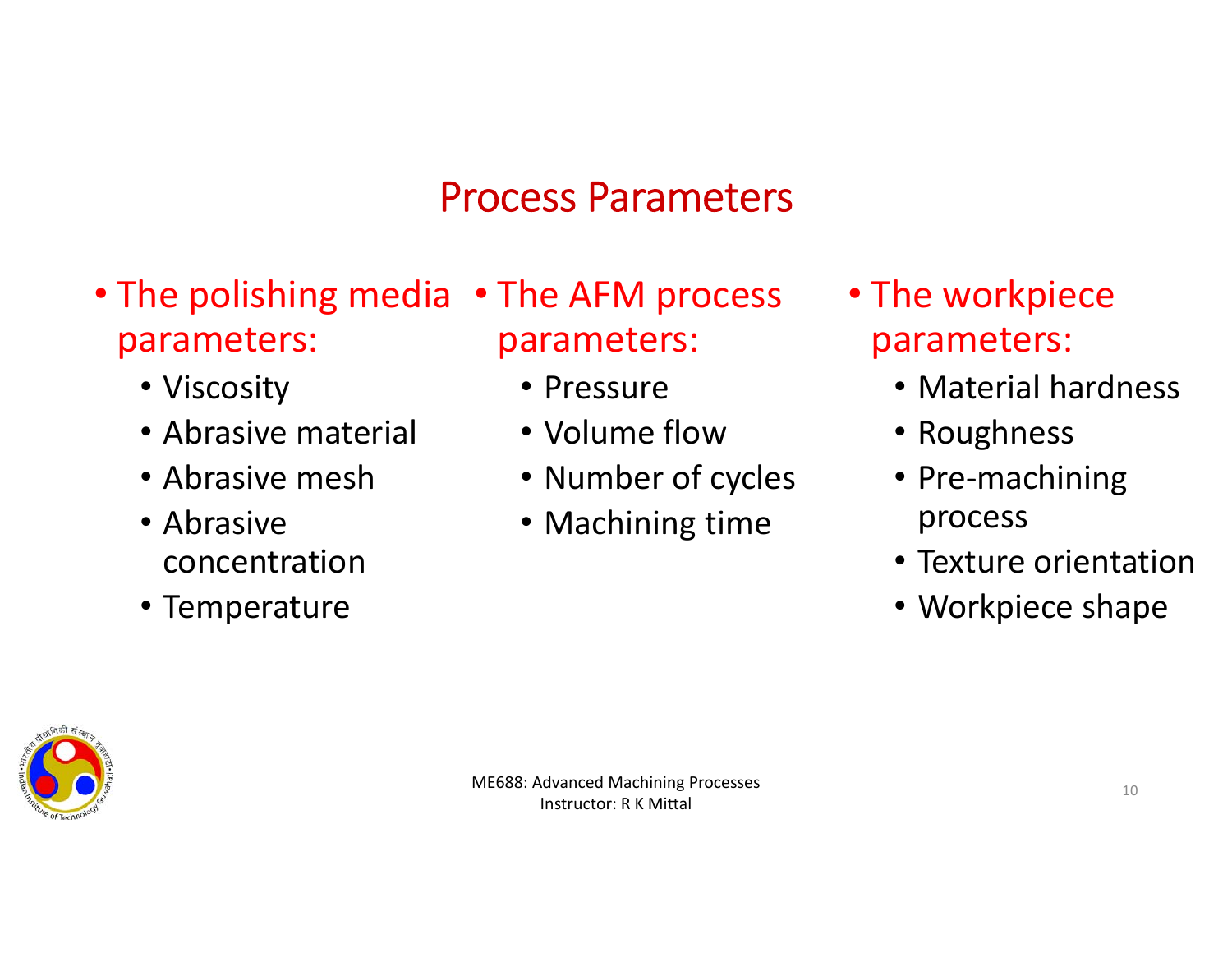#### Process Parameters

- The polishing media The AFM process parameters:
	- Viscosity
	- Abrasive material
	- Abrasive mesh
	- Abrasive concentration
	- Temperature
- parameters:
	- Pressure
	- Volume flow
	- Number of cycles
	- Machining time
- The workpiece parameters:
	- Material hardness
	- Roughness
	- Pre‐machining process
	- Texture orientation
	- Workpiece shape

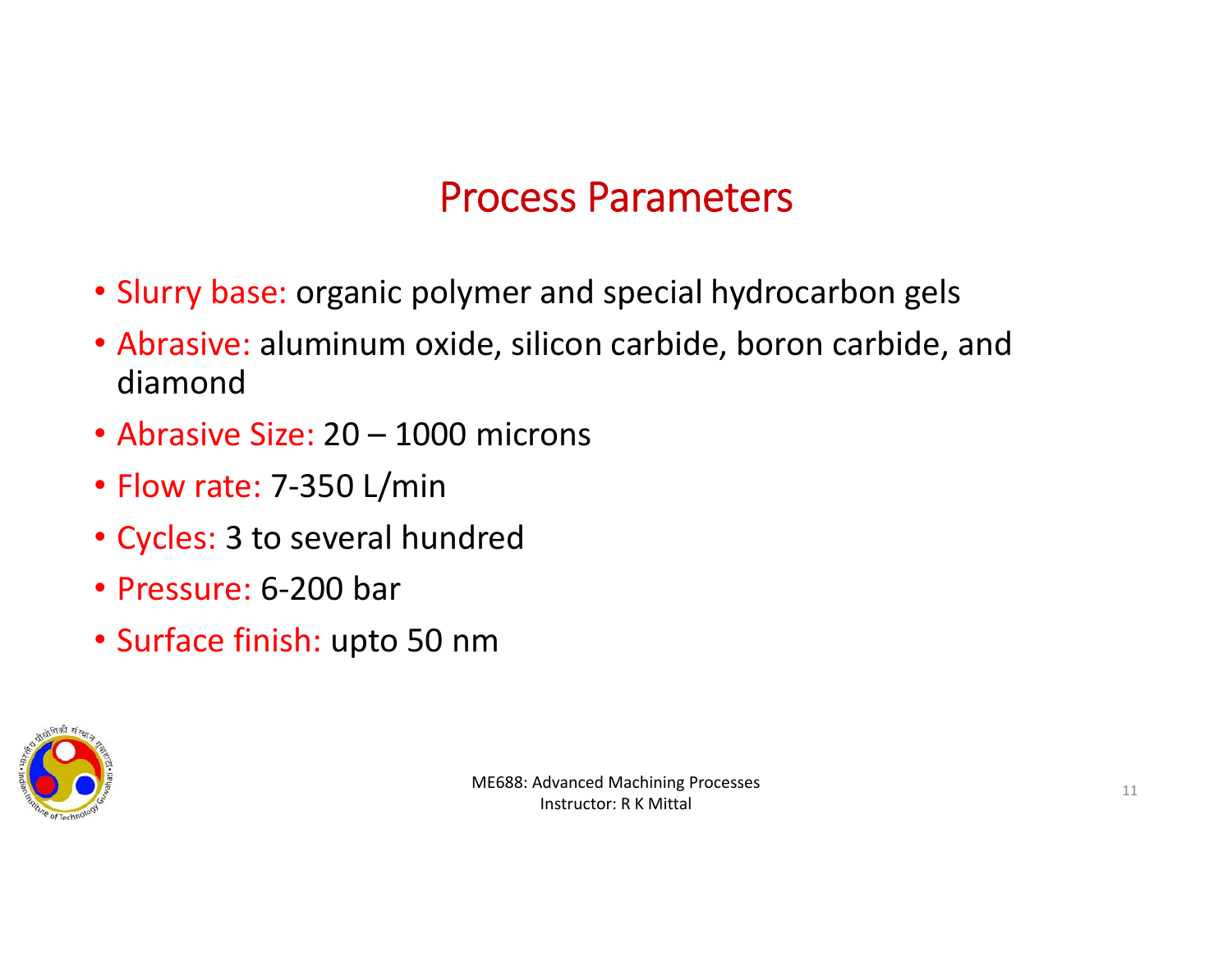#### Process Parameters

- Slurry base: organic polymer and special hydrocarbon gels
- Abrasive: aluminum oxide, silicon carbide, boron carbide, and diamond
- Abrasive Size: 20 1000 microns
- Flow rate: 7‐350 L/min
- Cycles: 3 to several hundred
- Pressure: 6‐200 bar
- Surface finish: upto 50 nm

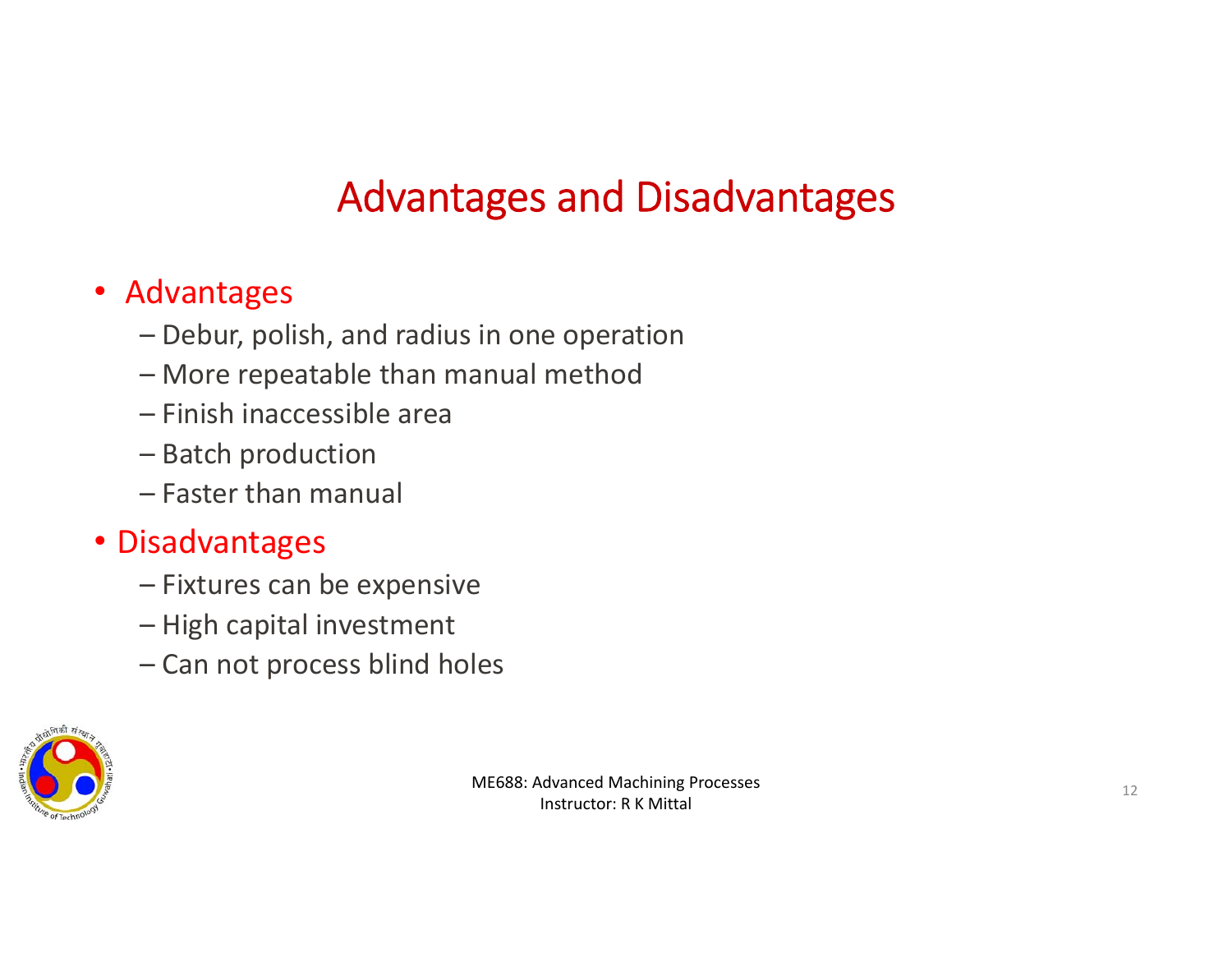# Advantages and Disadvantages

#### • Advantages

- Debur, polish, and radius in one operation
- More repeatable than manual method
- Finish inaccessible area
- Batch production
- Faster than manual

#### • Disadvantages

- Fixtures can be expensive
- High capital investment
- Can not process blind holes

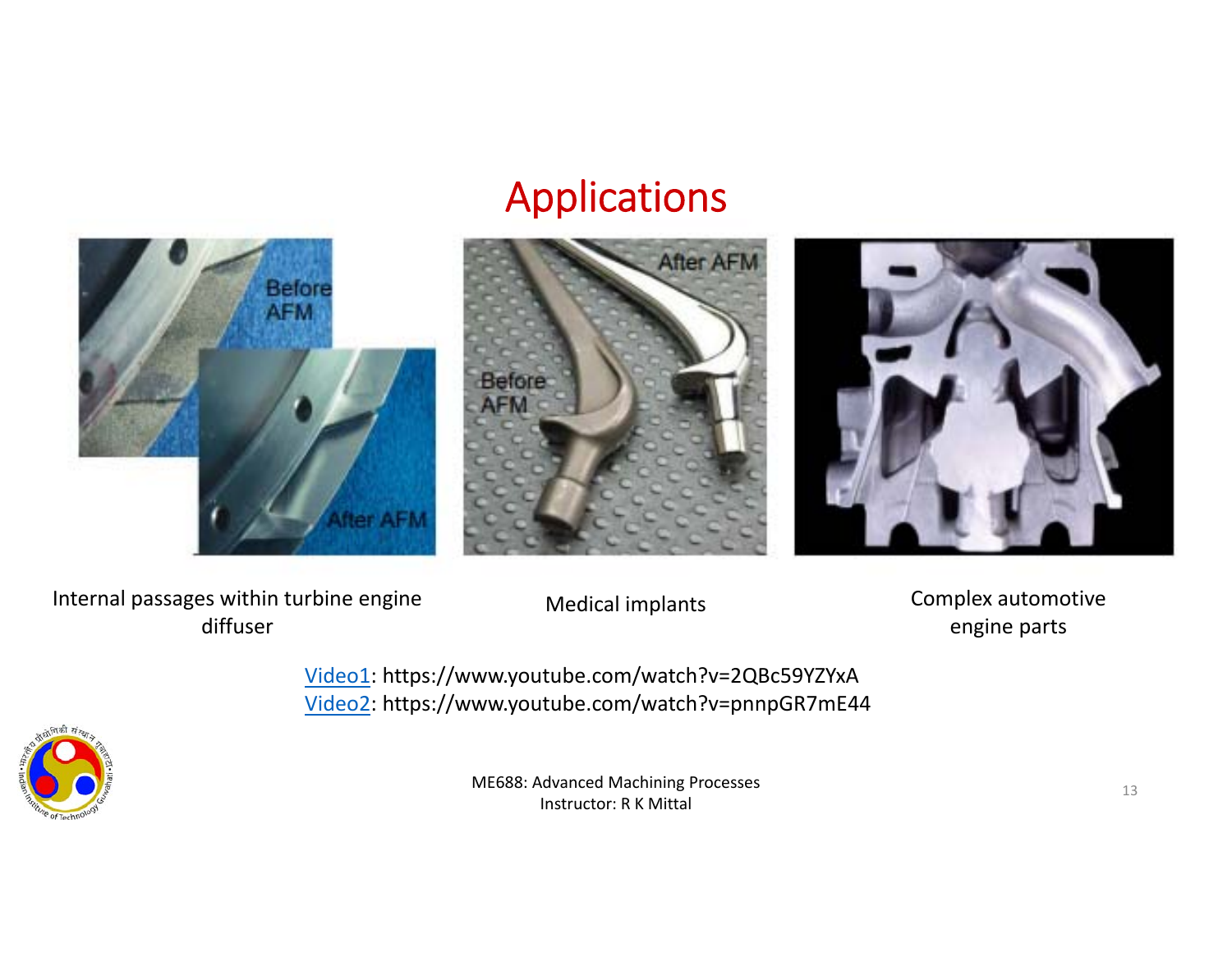### Applications







Internal passages within turbine engine diffuser

Medical implants Complex automotive engine parts

Video1: https://www.youtube.com/watch?v=2QBc59YZYxA Video2: https://www.youtube.com/watch?v=pnnpGR7mE44

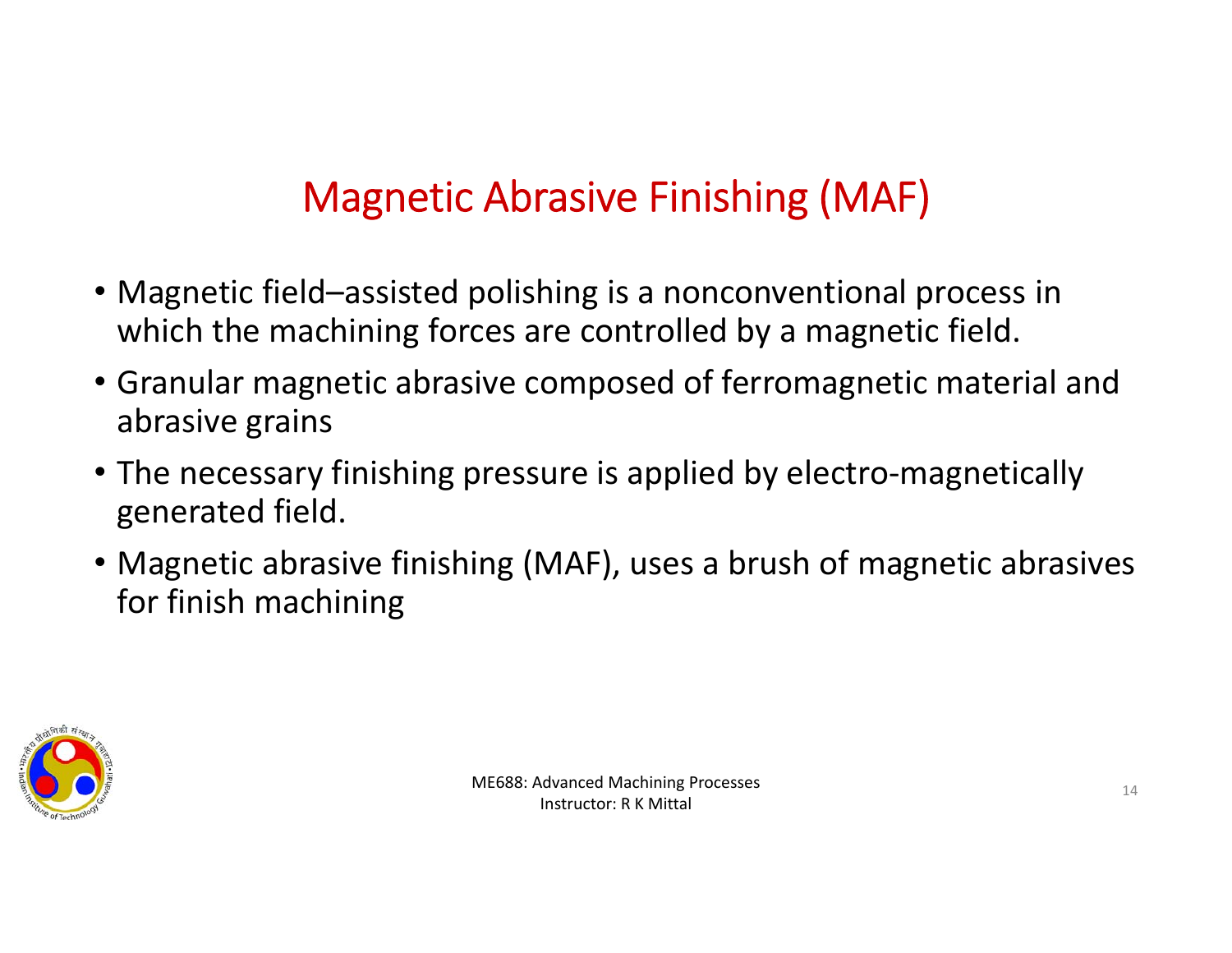# Magnetic Abrasive Finishing (MAF)

- Magnetic field–assisted polishing is a nonconventional process in which the machining forces are controlled by a magnetic field.
- Granular magnetic abrasive composed of ferromagnetic material and abrasive grains
- The necessary finishing pressure is applied by electro‐magnetically generated field.
- Magnetic abrasive finishing (MAF), uses a brush of magnetic abrasives for finish machining

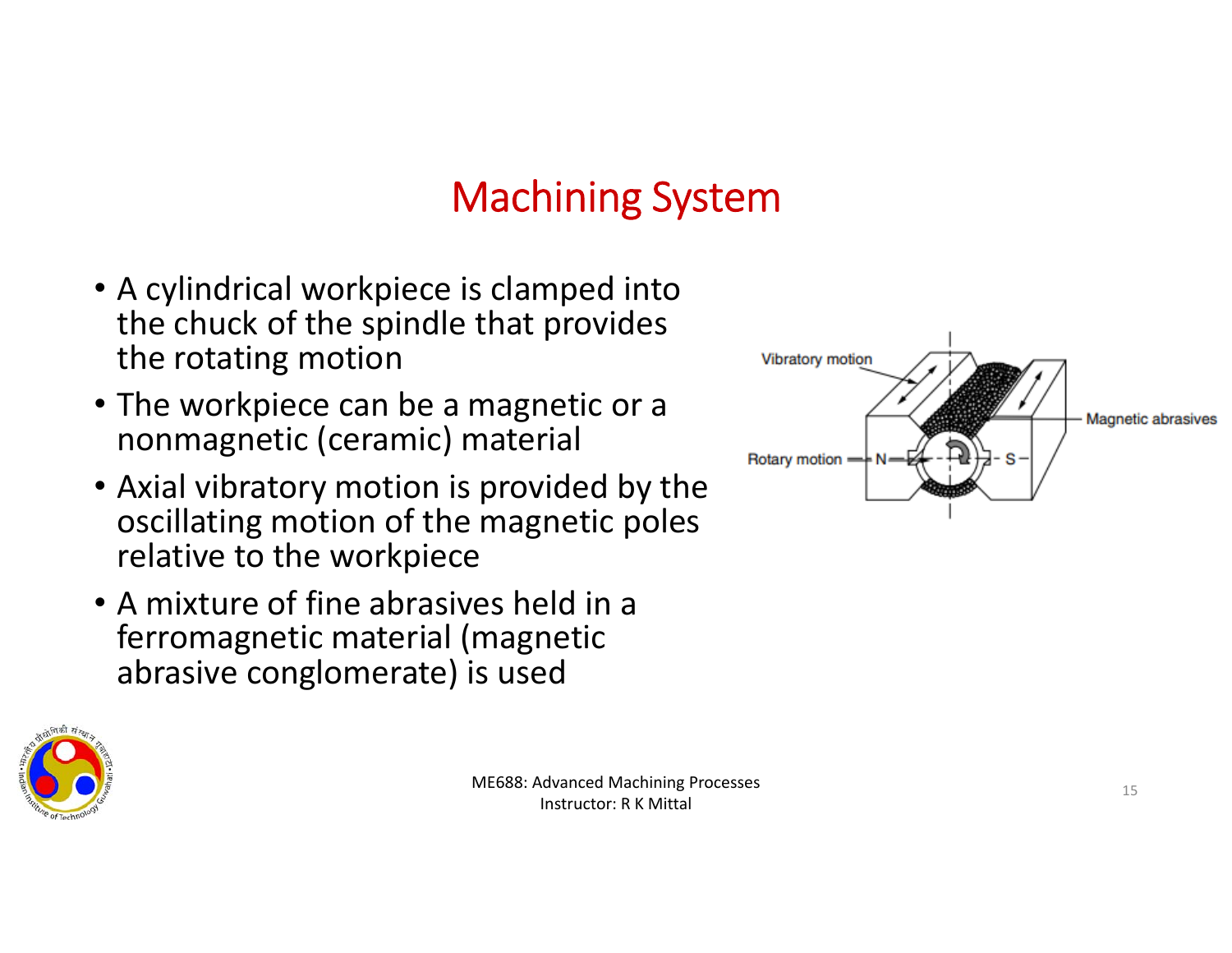## Machining System

- A cylindrical workpiece is clamped into the chuck of the spindle that provides the rotating motion
- The workpiece can be a magnetic or a nonmagnetic (ceramic) material
- Axial vibratory motion is provided by the oscillating motion of the magnetic poles relative to the workpiece
- A mixture of fine abrasives held in a ferromagnetic material (magnetic abrasive conglomerate) is used



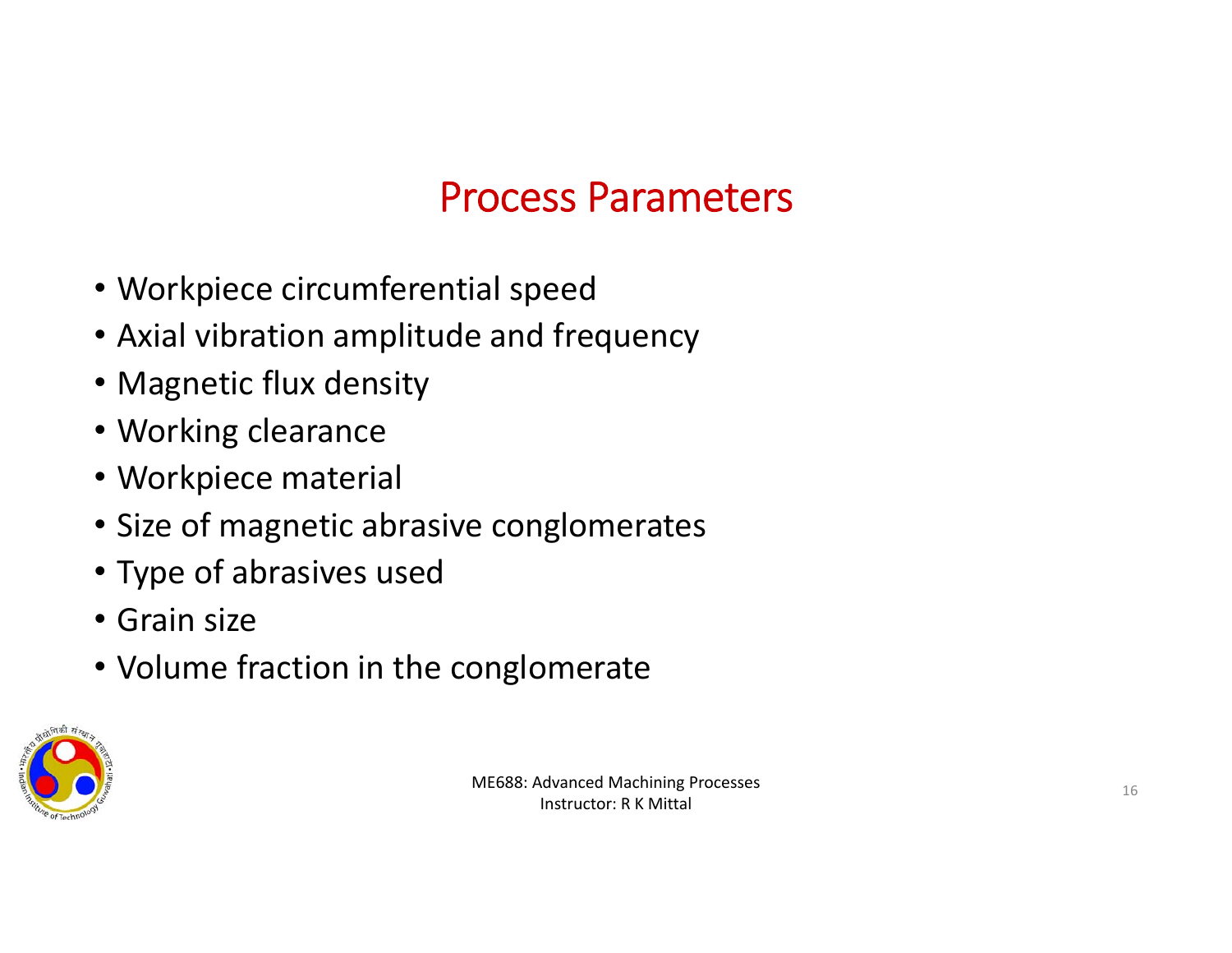## Process Parameters

- Workpiece circumferential speed
- Axial vibration amplitude and frequency
- Magnetic flux density
- Working clearance
- Workpiece material
- Size of magnetic abrasive conglomerates
- Type of abrasives used
- Grain size
- Volume fraction in the conglomerate

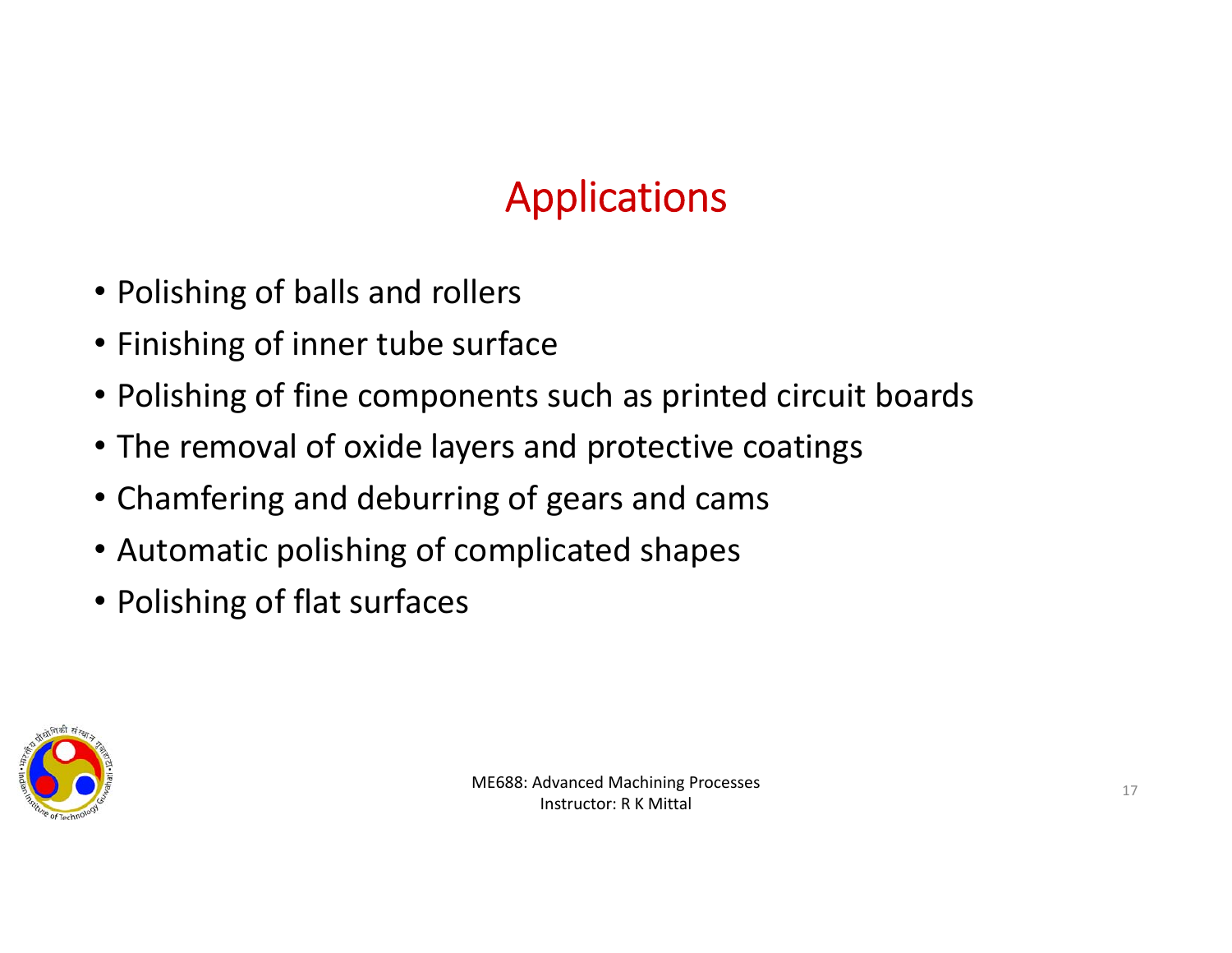# Applications

- Polishing of balls and rollers
- Finishing of inner tube surface
- Polishing of fine components such as printed circuit boards
- The removal of oxide layers and protective coatings
- Chamfering and deburring of gears and cams
- Automatic polishing of complicated shapes
- Polishing of flat surfaces